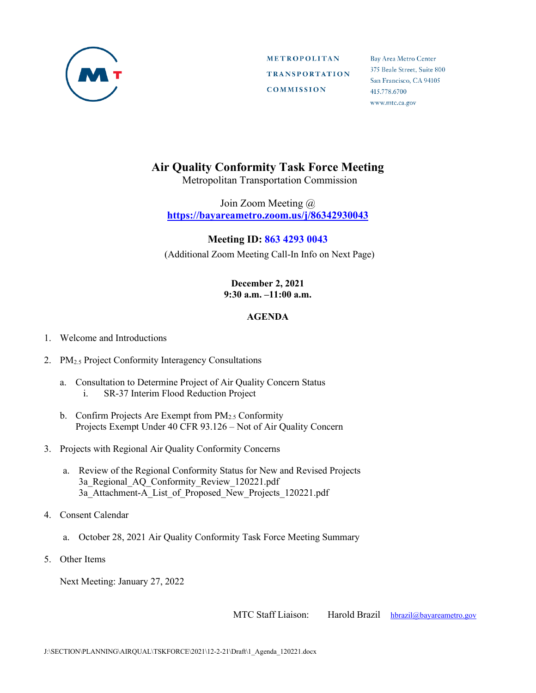

**METROPOLITAN TRANSPORTATION COMMISSION** 

Bay Area Metro Center 375 Beale Street, Suite 800 San Francisco, CA 94105 415.778.6700 www.mtc.ca.gov

## **Air Quality Conformity Task Force Meeting**

Metropolitan Transportation Commission

Join Zoom Meeting @ **https://bayareametro.zoom.us/j/86342930043**

## **Meeting ID: 863 4293 0043**

(Additional Zoom Meeting Call-In Info on Next Page)

## **December 2, 2021 9:30 a.m. –11:00 a.m.**

## **AGENDA**

- 1. Welcome and Introductions
- 2. PM<sub>2.5</sub> Project Conformity Interagency Consultations
	- a. Consultation to Determine Project of Air Quality Concern Status i. SR-37 Interim Flood Reduction Project
	- b. Confirm Projects Are Exempt from  $PM<sub>2.5</sub>$  Conformity Projects Exempt Under 40 CFR 93.126 – Not of Air Quality Concern
- 3. Projects with Regional Air Quality Conformity Concerns
	- a. Review of the Regional Conformity Status for New and Revised Projects 3a\_Regional\_AQ\_Conformity\_Review\_120221.pdf 3a\_Attachment-A\_List\_of\_Proposed\_New\_Projects\_120221.pdf
- 4. Consent Calendar
	- a. October 28, 2021 Air Quality Conformity Task Force Meeting Summary
- 5. Other Items

Next Meeting: January 27, 2022

MTC Staff Liaison: Harold Brazil [hbrazil@bayareametro.gov](mailto:hbrazil@bayareametro.gov)